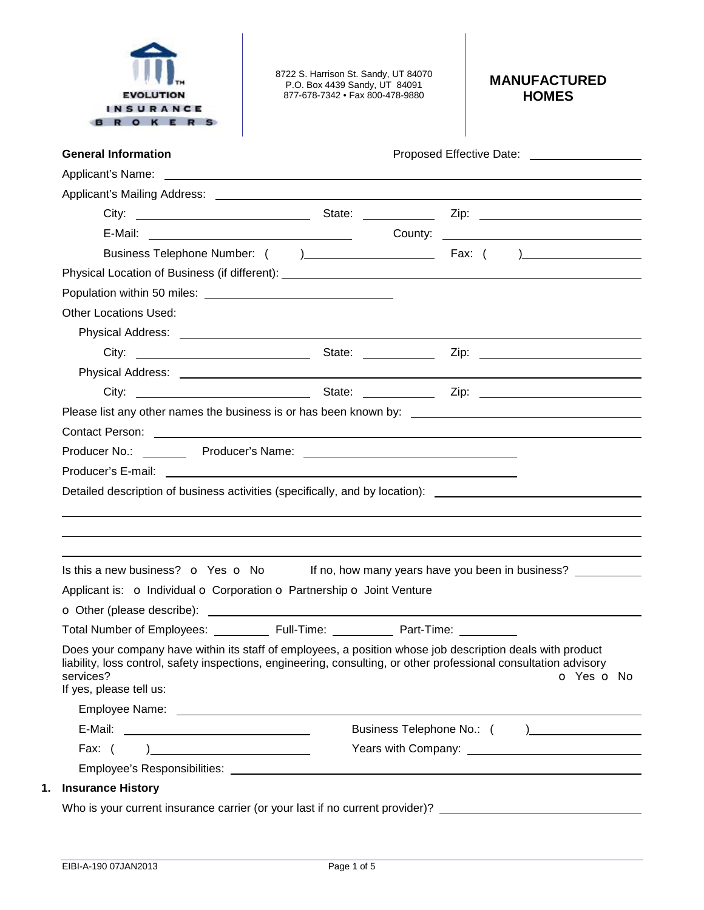

8722 S. Harrison St. Sandy, UT 84070 P.O. Box 4439 Sandy, UT 84091 877-678-7342 • Fax 800-478-9880

## **MANUFACTURED HOMES**

| <b>General Information</b>                                                                                                                                                                                                     | Proposed Effective Date: National Assembly Proposed Effective Date:           |
|--------------------------------------------------------------------------------------------------------------------------------------------------------------------------------------------------------------------------------|-------------------------------------------------------------------------------|
|                                                                                                                                                                                                                                |                                                                               |
|                                                                                                                                                                                                                                |                                                                               |
|                                                                                                                                                                                                                                |                                                                               |
| E-Mail: County: County: County: County: County: County: County: County: County: County: County: County: County: County: County: County: County: County: County: County: County: County: County: County: County: County: County |                                                                               |
|                                                                                                                                                                                                                                |                                                                               |
|                                                                                                                                                                                                                                |                                                                               |
|                                                                                                                                                                                                                                |                                                                               |
| <b>Other Locations Used:</b>                                                                                                                                                                                                   |                                                                               |
|                                                                                                                                                                                                                                |                                                                               |
|                                                                                                                                                                                                                                |                                                                               |
|                                                                                                                                                                                                                                |                                                                               |
|                                                                                                                                                                                                                                |                                                                               |
|                                                                                                                                                                                                                                |                                                                               |
| Contact Person: <u>Contact Person</u>                                                                                                                                                                                          |                                                                               |
|                                                                                                                                                                                                                                |                                                                               |
|                                                                                                                                                                                                                                |                                                                               |
|                                                                                                                                                                                                                                |                                                                               |
| Detailed description of business activities (specifically, and by location): _________________________________                                                                                                                 |                                                                               |
|                                                                                                                                                                                                                                |                                                                               |
|                                                                                                                                                                                                                                |                                                                               |
|                                                                                                                                                                                                                                |                                                                               |
| Is this a new business? $\bullet$ Yes $\bullet$ No If no, how many years have you been in business?                                                                                                                            |                                                                               |
| Applicant is: o Individual o Corporation o Partnership o Joint Venture                                                                                                                                                         |                                                                               |
|                                                                                                                                                                                                                                |                                                                               |
|                                                                                                                                                                                                                                |                                                                               |
| Total Number of Employees: _____________ Full-Time: _____________ Part-Time: __________                                                                                                                                        |                                                                               |
| Does your company have within its staff of employees, a position whose job description deals with product                                                                                                                      |                                                                               |
| liability, loss control, safety inspections, engineering, consulting, or other professional consultation advisory                                                                                                              |                                                                               |
| services?<br>If yes, please tell us:                                                                                                                                                                                           |                                                                               |
|                                                                                                                                                                                                                                |                                                                               |
|                                                                                                                                                                                                                                |                                                                               |
| Fax: $( )$                                                                                                                                                                                                                     |                                                                               |
|                                                                                                                                                                                                                                | <b>O</b> Yes <b>O</b> No<br>Business Telephone No.: ( ) _____________________ |
| <b>Insurance History</b>                                                                                                                                                                                                       |                                                                               |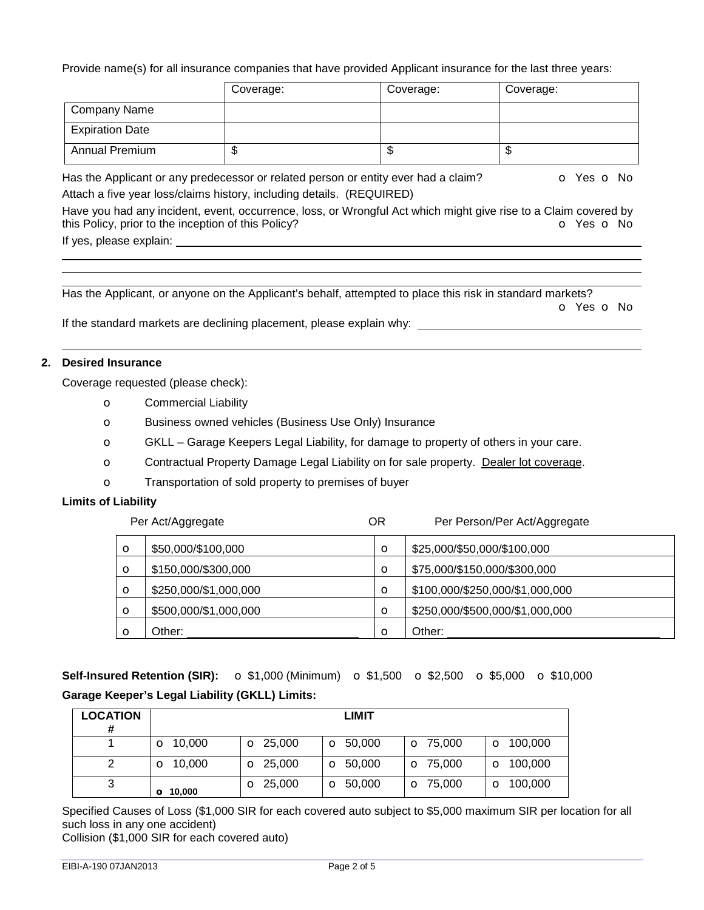Provide name(s) for all insurance companies that have provided Applicant insurance for the last three years:

|                        | Coverage: | Coverage: | Coverage: |
|------------------------|-----------|-----------|-----------|
| Company Name           |           |           |           |
| <b>Expiration Date</b> |           |           |           |
| <b>Annual Premium</b>  |           | œ<br>D    | w         |

Has the Applicant or any predecessor or related person or entity ever had a claim?  $\bullet$  Yes  $\bullet$  No Attach a five year loss/claims history, including details. (REQUIRED)

Have you had any incident, event, occurrence, loss, or Wrongful Act which might give rise to a Claim covered by this Policy, prior to the inception of this Policy? **o** Yes **o** No If yes, please explain:

Has the Applicant, or anyone on the Applicant's behalf, attempted to place this risk in standard markets?

o Yes o No

If the standard markets are declining placement, please explain why: \_\_\_\_\_

## **2. Desired Insurance**

Coverage requested (please check):

- o Commercial Liability
- o Business owned vehicles (Business Use Only) Insurance
- o GKLL Garage Keepers Legal Liability, for damage to property of others in your care.
- o Contractual Property Damage Legal Liability on for sale property. Dealer lot coverage.
- o Transportation of sold property to premises of buyer

#### **Limits of Liability**

|         | Per Act/Aggregate     | <b>OR</b> | Per Person/Per Act/Aggregate    |
|---------|-----------------------|-----------|---------------------------------|
| $\circ$ | \$50,000/\$100,000    | $\circ$   | \$25,000/\$50,000/\$100,000     |
| $\circ$ | \$150,000/\$300,000   | $\circ$   | \$75,000/\$150,000/\$300,000    |
| $\circ$ | \$250,000/\$1,000,000 | $\circ$   | \$100,000/\$250,000/\$1,000,000 |
| $\circ$ | \$500,000/\$1,000,000 | $\circ$   | \$250,000/\$500,000/\$1,000,000 |
| $\circ$ | Other:                | $\circ$   | Other:                          |

**Self-Insured Retention (SIR):** ○ \$1,000 (Minimum) ○ \$1,500 ○ \$2,500 ○ \$5,000 ○ \$10,000 **Garage Keeper's Legal Liability (GKLL) Limits:** 

| <b>LOCATION</b><br># |                 |                 | <b>LIMIT</b>     |                 |                  |
|----------------------|-----------------|-----------------|------------------|-----------------|------------------|
|                      | $\Omega$ 10,000 | $\Omega$ 25,000 | $\bullet$ 50,000 | $\Omega$ 75,000 | $\circ$ 100,000  |
|                      | $\Omega$ 10,000 | $\Omega$ 25,000 | $\bullet$ 50,000 | $\Omega$ 75,000 | $\Omega$ 100,000 |
| 3                    | 0.10,000        | $\Omega$ 25,000 | $\bullet$ 50,000 | $\Omega$ 75,000 | $\Omega$ 100,000 |

Specified Causes of Loss (\$1,000 SIR for each covered auto subject to \$5,000 maximum SIR per location for all such loss in any one accident)

Collision (\$1,000 SIR for each covered auto)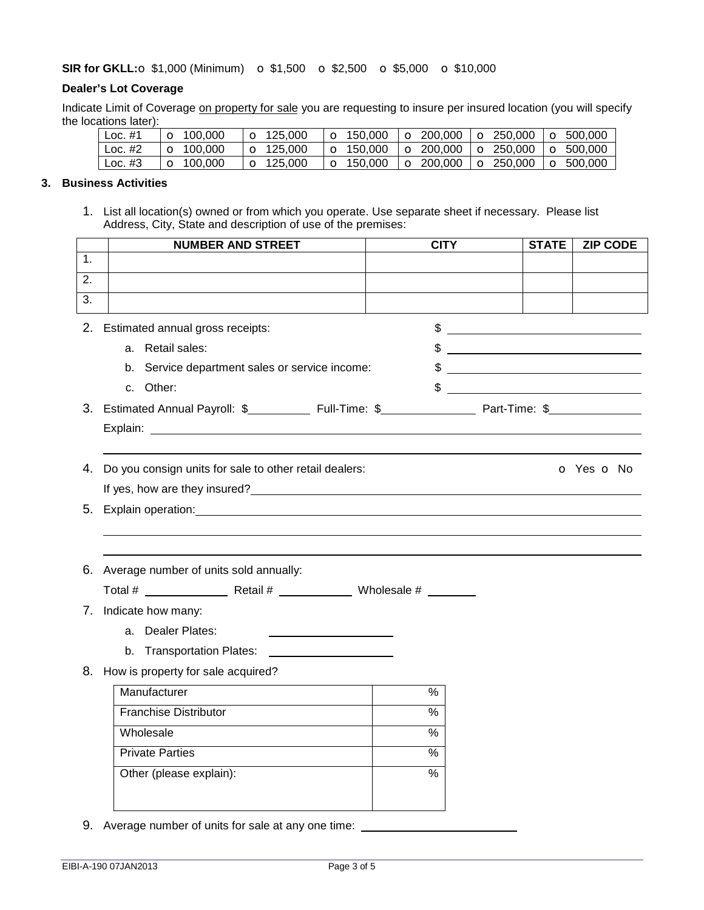## **SIR for GKLL: S1,000** (Minimum) **o** \$1,500 **o** \$2,500 **o** \$5,000 **o** \$10,000

## **Dealer's Lot Coverage**

Indicate Limit of Coverage on property for sale you are requesting to insure per insured location (you will specify the locations later):

| Loc. $#1$ | $\overline{)$ O 100.000 | $\overline{Q}$ 125.000  | $\vert$ O 150,000 $\vert$ O 200,000 $\vert$ O 250,000 $\vert$ O 500,000 |  |  |
|-----------|-------------------------|-------------------------|-------------------------------------------------------------------------|--|--|
| Loc. $#2$ | $\sim$ 100.000          | $\overline{)$ O 125.000 | $\vert$ o 150,000 $\vert$ o 200,000 $\vert$ o 250,000 $\vert$ o 500,000 |  |  |
| I Loc. #3 | $\vert$ O 100.000       | $\overline{)$ O 125.000 | $\vert$ O 150,000 $\vert$ O 200,000 $\vert$ O 250,000 $\vert$ O 500,000 |  |  |

## **3. Business Activities**

1. List all location(s) owned or from which you operate. Use separate sheet if necessary. Please list Address, City, State and description of use of the premises:

|    | <b>NUMBER AND STREET</b>                                                                                                                                                                                                       | <b>CITY</b>   | <b>STATE</b>                                                                                                                                                                                                                                                                                                        | <b>ZIP CODE</b>          |
|----|--------------------------------------------------------------------------------------------------------------------------------------------------------------------------------------------------------------------------------|---------------|---------------------------------------------------------------------------------------------------------------------------------------------------------------------------------------------------------------------------------------------------------------------------------------------------------------------|--------------------------|
| 1. |                                                                                                                                                                                                                                |               |                                                                                                                                                                                                                                                                                                                     |                          |
| 2. |                                                                                                                                                                                                                                |               |                                                                                                                                                                                                                                                                                                                     |                          |
| 3. |                                                                                                                                                                                                                                |               |                                                                                                                                                                                                                                                                                                                     |                          |
| 2. | Estimated annual gross receipts:                                                                                                                                                                                               |               | $\frac{1}{2}$ $\frac{1}{2}$ $\frac{1}{2}$ $\frac{1}{2}$ $\frac{1}{2}$ $\frac{1}{2}$ $\frac{1}{2}$ $\frac{1}{2}$ $\frac{1}{2}$ $\frac{1}{2}$ $\frac{1}{2}$ $\frac{1}{2}$ $\frac{1}{2}$ $\frac{1}{2}$ $\frac{1}{2}$ $\frac{1}{2}$ $\frac{1}{2}$ $\frac{1}{2}$ $\frac{1}{2}$ $\frac{1}{2}$ $\frac{1}{2}$ $\frac{1}{2}$ |                          |
|    | a. Retail sales:                                                                                                                                                                                                               |               | $\frac{1}{2}$ $\frac{1}{2}$ $\frac{1}{2}$ $\frac{1}{2}$ $\frac{1}{2}$ $\frac{1}{2}$ $\frac{1}{2}$ $\frac{1}{2}$ $\frac{1}{2}$ $\frac{1}{2}$ $\frac{1}{2}$ $\frac{1}{2}$ $\frac{1}{2}$ $\frac{1}{2}$ $\frac{1}{2}$ $\frac{1}{2}$ $\frac{1}{2}$ $\frac{1}{2}$ $\frac{1}{2}$ $\frac{1}{2}$ $\frac{1}{2}$ $\frac{1}{2}$ |                          |
|    | b. Service department sales or service income:                                                                                                                                                                                 |               | $\frac{1}{2}$                                                                                                                                                                                                                                                                                                       |                          |
|    | c. Other:                                                                                                                                                                                                                      |               | $\frac{1}{2}$                                                                                                                                                                                                                                                                                                       |                          |
|    | 3. Estimated Annual Payroll: \$_____________ Full-Time: \$________________________ Part-Time: \$_____________                                                                                                                  |               |                                                                                                                                                                                                                                                                                                                     |                          |
|    |                                                                                                                                                                                                                                |               |                                                                                                                                                                                                                                                                                                                     |                          |
|    |                                                                                                                                                                                                                                |               |                                                                                                                                                                                                                                                                                                                     |                          |
|    | 4. Do you consign units for sale to other retail dealers:                                                                                                                                                                      |               |                                                                                                                                                                                                                                                                                                                     | <b>o</b> Yes <b>o</b> No |
|    |                                                                                                                                                                                                                                |               |                                                                                                                                                                                                                                                                                                                     |                          |
|    | 5. Explain operation: explaint the state of the state of the state of the state of the state of the state of the state of the state of the state of the state of the state of the state of the state of the state of the state |               |                                                                                                                                                                                                                                                                                                                     |                          |
|    |                                                                                                                                                                                                                                |               |                                                                                                                                                                                                                                                                                                                     |                          |
|    |                                                                                                                                                                                                                                |               |                                                                                                                                                                                                                                                                                                                     |                          |
| 6. | Average number of units sold annually:                                                                                                                                                                                         |               |                                                                                                                                                                                                                                                                                                                     |                          |
|    |                                                                                                                                                                                                                                |               |                                                                                                                                                                                                                                                                                                                     |                          |
|    | 7. Indicate how many:                                                                                                                                                                                                          |               |                                                                                                                                                                                                                                                                                                                     |                          |
|    | a. Dealer Plates:<br><u> 1989 - Johann Barn, mars an t-Amerikaansk kommunister (</u>                                                                                                                                           |               |                                                                                                                                                                                                                                                                                                                     |                          |
|    | b. Transportation Plates: ______________________                                                                                                                                                                               |               |                                                                                                                                                                                                                                                                                                                     |                          |
|    | 8. How is property for sale acquired?                                                                                                                                                                                          |               |                                                                                                                                                                                                                                                                                                                     |                          |
|    | Manufacturer                                                                                                                                                                                                                   | $\frac{1}{2}$ |                                                                                                                                                                                                                                                                                                                     |                          |
|    | <b>Franchise Distributor</b>                                                                                                                                                                                                   | $\frac{0}{6}$ |                                                                                                                                                                                                                                                                                                                     |                          |
|    | Wholesale                                                                                                                                                                                                                      | $\frac{0}{0}$ |                                                                                                                                                                                                                                                                                                                     |                          |
|    | <b>Private Parties</b>                                                                                                                                                                                                         | $\frac{0}{6}$ |                                                                                                                                                                                                                                                                                                                     |                          |
|    | Other (please explain):                                                                                                                                                                                                        | $\frac{1}{2}$ |                                                                                                                                                                                                                                                                                                                     |                          |
|    |                                                                                                                                                                                                                                |               |                                                                                                                                                                                                                                                                                                                     |                          |
|    |                                                                                                                                                                                                                                |               |                                                                                                                                                                                                                                                                                                                     |                          |

9. Average number of units for sale at any one time: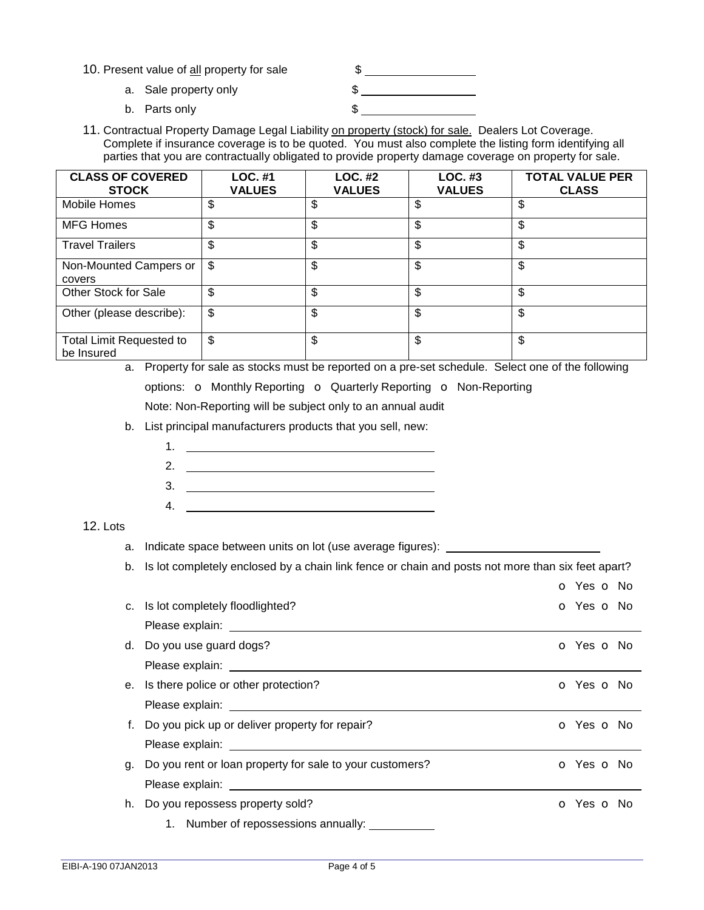- 10. Present value of all property for sale  $\frac{1}{2}$ 
	- a. Sale property only example that  $\frac{1}{2}$ b. Parts only \$
- 11. Contractual Property Damage Legal Liability on property (stock) for sale. Dealers Lot Coverage. Complete if insurance coverage is to be quoted. You must also complete the listing form identifying all parties that you are contractually obligated to provide property damage coverage on property for sale.

| <b>CLASS OF COVERED</b><br><b>STOCK</b>       | LOC. #1<br><b>VALUES</b> | <b>LOC. #2</b><br><b>VALUES</b> | LOC. #3<br><b>VALUES</b> | <b>TOTAL VALUE PER</b><br><b>CLASS</b> |
|-----------------------------------------------|--------------------------|---------------------------------|--------------------------|----------------------------------------|
| <b>Mobile Homes</b>                           | \$                       | \$                              | \$                       | \$                                     |
| <b>MFG Homes</b>                              | \$                       | \$                              | \$                       | \$                                     |
| <b>Travel Trailers</b>                        | \$                       | \$                              | \$                       | \$                                     |
| Non-Mounted Campers or<br>covers              | \$                       | \$                              | \$                       | \$                                     |
| Other Stock for Sale                          | \$                       | \$                              | \$                       | \$                                     |
| Other (please describe):                      | \$                       | \$                              | \$                       | \$                                     |
| <b>Total Limit Requested to</b><br>be Insured | \$                       | \$                              | \$                       | \$                                     |

- a. Property for sale as stocks must be reported on a pre-set schedule. Select one of the following options: **o** Monthly Reporting **o** Quarterly Reporting **o** Non-Reporting Note: Non-Reporting will be subject only to an annual audit
- b. List principal manufacturers products that you sell, new:
	- 1. <u>\_\_\_\_\_\_\_\_\_\_\_\_\_\_\_\_\_\_\_\_\_\_\_\_\_\_\_\_\_\_</u>
	- 2.
	- 3.
	- 4.

# 12. Lots

- a. Indicate space between units on lot (use average figures):
- b. Is lot completely enclosed by a chain link fence or chain and posts not more than six feet apart?

|    |                                                                                                                | O Yes O No               |
|----|----------------------------------------------------------------------------------------------------------------|--------------------------|
|    | c. Is lot completely floodlighted?                                                                             | O Yes O No               |
|    |                                                                                                                |                          |
|    | d. Do you use guard dogs?                                                                                      | o Yes o No               |
|    |                                                                                                                |                          |
|    | e. Is there police or other protection?                                                                        | <b>o</b> Yes <b>o</b> No |
|    |                                                                                                                |                          |
|    | f. Do you pick up or deliver property for repair?                                                              | <b>O</b> Yes <b>O</b> No |
|    | Please explain: University of the set of the set of the set of the set of the set of the set of the set of the |                          |
| g. | Do you rent or loan property for sale to your customers?                                                       | o Yes o No               |
|    |                                                                                                                |                          |
|    | h. Do you repossess property sold?                                                                             | O Yes O No               |
|    | 1. Number of repossessions annually:                                                                           |                          |